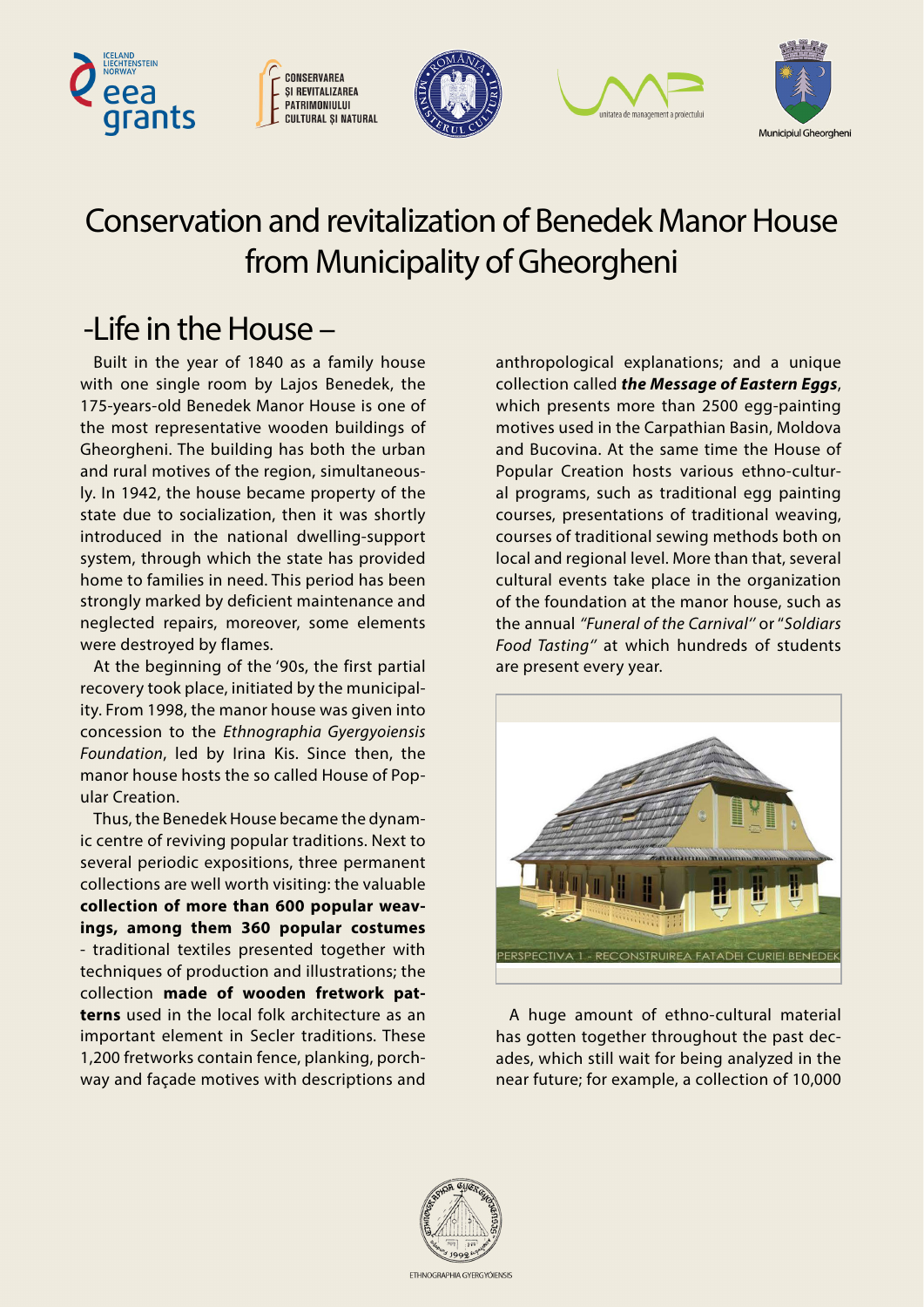









# Conservation and revitalization of Benedek Manor House from Municipality of Gheorgheni

# -Life in the House –

Built in the year of 1840 as a family house with one single room by Lajos Benedek, the 175-years-old Benedek Manor House is one of the most representative wooden buildings of Gheorgheni. The building has both the urban and rural motives of the region, simultaneously. In 1942, the house became property of the state due to socialization, then it was shortly introduced in the national dwelling-support system, through which the state has provided home to families in need. This period has been strongly marked by deficient maintenance and neglected repairs, moreover, some elements were destroyed by flames.

At the beginning of the '90s, the first partial recovery took place, initiated by the municipality. From 1998, the manor house was given into concession to the *Ethnographia Gyergyoiensis Foundation*, led by Irina Kis. Since then, the manor house hosts the so called House of Popular Creation.

Thus, the Benedek House became the dynamic centre of reviving popular traditions. Next to several periodic expositions, three permanent collections are well worth visiting: the valuable **collection of more than 600 popular weavings, among them 360 popular costumes** - traditional textiles presented together with techniques of production and illustrations; the collection **made of wooden fretwork patterns** used in the local folk architecture as an important element in Secler traditions. These 1,200 fretworks contain fence, planking, porchway and façade motives with descriptions and

anthropological explanations; and a unique collection called *the Message of Eastern Eggs*, which presents more than 2500 egg-painting motives used in the Carpathian Basin, Moldova and Bucovina. At the same time the House of Popular Creation hosts various ethno-cultural programs, such as traditional egg painting courses, presentations of traditional weaving, courses of traditional sewing methods both on local and regional level. More than that, several cultural events take place in the organization of the foundation at the manor house, such as the annual *''Funeral of the Carnival''* or ''*Soldiars Food Tasting''* at which hundreds of students are present every year.



A huge amount of ethno-cultural material has gotten together throughout the past decades, which still wait for being analyzed in the near future; for example, a collection of 10,000

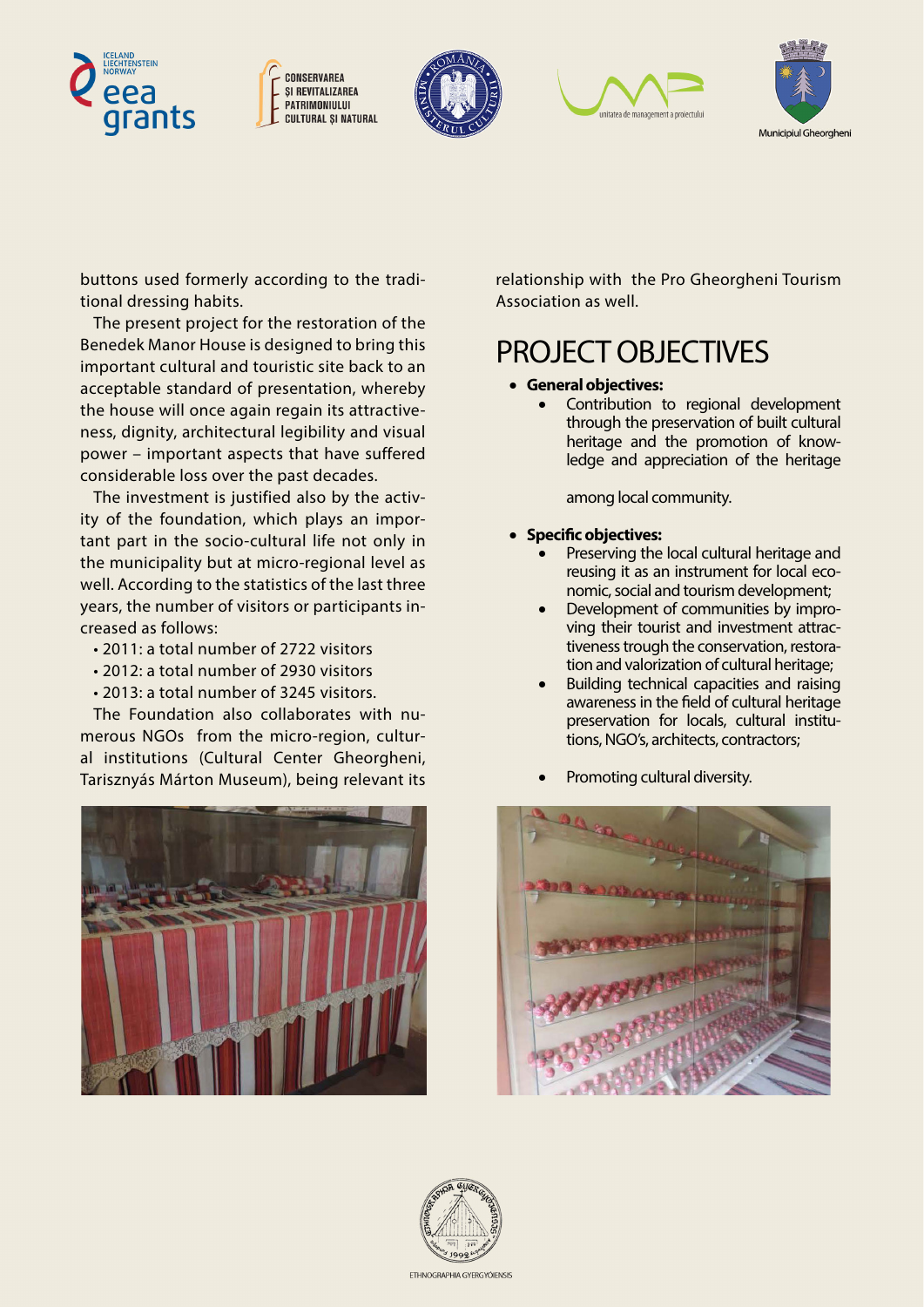









buttons used formerly according to the traditional dressing habits.

The present project for the restoration of the Benedek Manor House is designed to bring this important cultural and touristic site back to an acceptable standard of presentation, whereby the house will once again regain its attractiveness, dignity, architectural legibility and visual power – important aspects that have suffered considerable loss over the past decades.

The investment is justified also by the activity of the foundation, which plays an important part in the socio-cultural life not only in the municipality but at micro-regional level as well. According to the statistics of the last three years, the number of visitors or participants increased as follows:

- 2011: a total number of 2722 visitors
- 2012: a total number of 2930 visitors
- 2013: a total number of 3245 visitors.

The Foundation also collaborates with numerous NGOs from the micro-region, cultural institutions (Cultural Center Gheorgheni, Tarisznyás Márton Museum), being relevant its



relationship with the Pro Gheorgheni Tourism Association as well.

## PROJECT OBJECTIVES

### • **General objectives:**

Contribution to regional development through the preservation of built cultural heritage and the promotion of knowledge and appreciation of the heritage

among local community.

### • Specific objectives:

- Preserving the local cultural heritage and reusing it as an instrument for local economic, social and tourism development;
- Development of communities by improving their tourist and investment attractiveness trough the conservation, restoration and valorization of cultural heritage;
- Building technical capacities and raising awareness in the field of cultural heritage preservation for locals, cultural institutions, NGO's, architects, contractors;